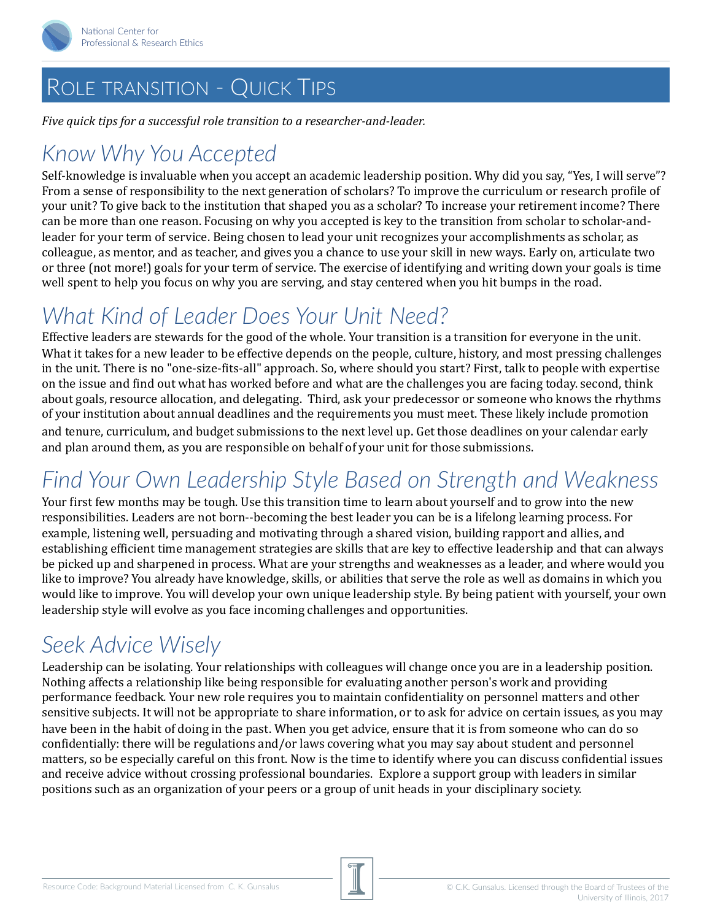

#### ROLE TRANSITION - QUICK TIPS

*Five quick tips for a successful role transition to a researcher-and-leader.* 

### *Know Why You Accepted*

Self-knowledge is invaluable when you accept an academic leadership position. Why did you say, "Yes, I will serve"? From a sense of responsibility to the next generation of scholars? To improve the curriculum or research profile of your unit? To give back to the institution that shaped you as a scholar? To increase your retirement income? There can be more than one reason. Focusing on why you accepted is key to the transition from scholar to scholar-andleader for your term of service. Being chosen to lead your unit recognizes your accomplishments as scholar, as colleague, as mentor, and as teacher, and gives you a chance to use your skill in new ways. Early on, articulate two or three (not more!) goals for your term of service. The exercise of identifying and writing down your goals is time well spent to help you focus on why you are serving, and stay centered when you hit bumps in the road.

# *What Kind of Leader Does Your Unit Need?*

Effective leaders are stewards for the good of the whole. Your transition is a transition for everyone in the unit. What it takes for a new leader to be effective depends on the people, culture, history, and most pressing challenges in the unit. There is no "one-size-fits-all" approach. So, where should you start? First, talk to people with expertise on the issue and find out what has worked before and what are the challenges you are facing today. second, think about goals, resource allocation, and delegating. Third, ask your predecessor or someone who knows the rhythms of your institution about annual deadlines and the requirements you must meet. These likely include promotion and tenure, curriculum, and budget submissions to the next level up. Get those deadlines on your calendar early and plan around them, as you are responsible on behalf of your unit for those submissions.

## *Find Your Own Leadership Style Based on Strength and Weakness*

Your first few months may be tough. Use this transition time to learn about yourself and to grow into the new responsibilities. Leaders are not born--becoming the best leader you can be is a lifelong learning process. For example, listening well, persuading and motivating through a shared vision, building rapport and allies, and establishing efficient time management strategies are skills that are key to effective leadership and that can always be picked up and sharpened in process. What are your strengths and weaknesses as a leader, and where would you like to improve? You already have knowledge, skills, or abilities that serve the role as well as domains in which you would like to improve. You will develop your own unique leadership style. By being patient with yourself, your own leadership style will evolve as you face incoming challenges and opportunities.

### *Seek Advice Wisely*

Leadership can be isolating. Your relationships with colleagues will change once you are in a leadership position. Nothing affects a relationship like being responsible for evaluating another person's work and providing performance feedback. Your new role requires you to maintain confidentiality on personnel matters and other sensitive subjects. It will not be appropriate to share information, or to ask for advice on certain issues, as you may have been in the habit of doing in the past. When you get advice, ensure that it is from someone who can do so confidentially: there will be regulations and/or laws covering what you may say about student and personnel matters, so be especially careful on this front. Now is the time to identify where you can discuss confidential issues and receive advice without crossing professional boundaries. Explore a support group with leaders in similar positions such as an organization of your peers or a group of unit heads in your disciplinary society.